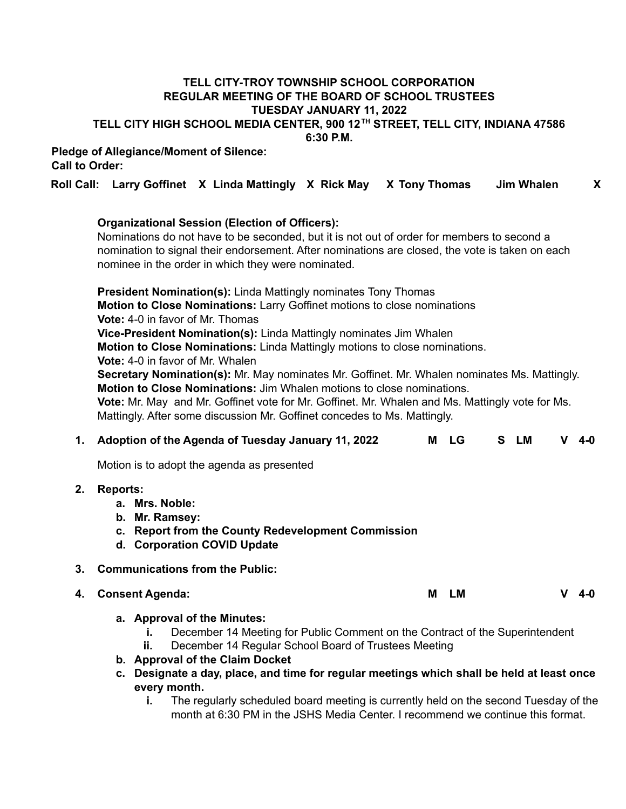# **TELL CITY-TROY TOWNSHIP SCHOOL CORPORATION REGULAR MEETING OF THE BOARD OF SCHOOL TRUSTEES TUESDAY JANUARY 11, 2022 TELL CITY HIGH SCHOOL MEDIA CENTER, 900 12 TH STREET, TELL CITY, INDIANA 47586 6:30 P.M.**

# **Pledge of Allegiance/Moment of Silence: Call to Order:**

# **Roll Call: Larry Goffinet X Linda Mattingly X Rick May X Tony Thomas Jim Whalen X**

# **Organizational Session (Election of Officers):**

Nominations do not have to be seconded, but it is not out of order for members to second a nomination to signal their endorsement. After nominations are closed, the vote is taken on each nominee in the order in which they were nominated.

**President Nomination(s):** Linda Mattingly nominates Tony Thomas **Motion to Close Nominations:** Larry Goffinet motions to close nominations **Vote:** 4-0 in favor of Mr. Thomas **Vice-President Nomination(s):** Linda Mattingly nominates Jim Whalen

**Motion to Close Nominations:** Linda Mattingly motions to close nominations.

**Vote:** 4-0 in favor of Mr. Whalen

**Secretary Nomination(s):** Mr. May nominates Mr. Goffinet. Mr. Whalen nominates Ms. Mattingly. **Motion to Close Nominations:** Jim Whalen motions to close nominations.

**Vote:** Mr. May and Mr. Goffinet vote for Mr. Goffinet. Mr. Whalen and Ms. Mattingly vote for Ms. Mattingly. After some discussion Mr. Goffinet concedes to Ms. Mattingly.

|    | 1. Adoption of the Agenda of Tuesday January 11, 2022                                                                                                                                                                                                                                                                       | м | <b>LG</b> | S. | <b>LM</b> | v | $4 - 0$ |  |
|----|-----------------------------------------------------------------------------------------------------------------------------------------------------------------------------------------------------------------------------------------------------------------------------------------------------------------------------|---|-----------|----|-----------|---|---------|--|
|    | Motion is to adopt the agenda as presented                                                                                                                                                                                                                                                                                  |   |           |    |           |   |         |  |
| 2. | <b>Reports:</b><br>a. Mrs. Noble:<br>b. Mr. Ramsey:<br>c. Report from the County Redevelopment Commission<br>d. Corporation COVID Update                                                                                                                                                                                    |   |           |    |           |   |         |  |
| 3. | <b>Communications from the Public:</b>                                                                                                                                                                                                                                                                                      |   |           |    |           |   |         |  |
| 4. | <b>Consent Agenda:</b>                                                                                                                                                                                                                                                                                                      | м | <b>LM</b> |    |           | v | $4 - 0$ |  |
|    | a. Approval of the Minutes:<br>December 14 Meeting for Public Comment on the Contract of the Superintendent<br>December 14 Regular School Board of Trustees Meeting<br>ii.<br>b. Approval of the Claim Docket<br>c. Designate a day, place, and time for regular meetings which shall be held at least once<br>every month. |   |           |    |           |   |         |  |

**i.** The regularly scheduled board meeting is currently held on the second Tuesday of the month at 6:30 PM in the JSHS Media Center. I recommend we continue this format.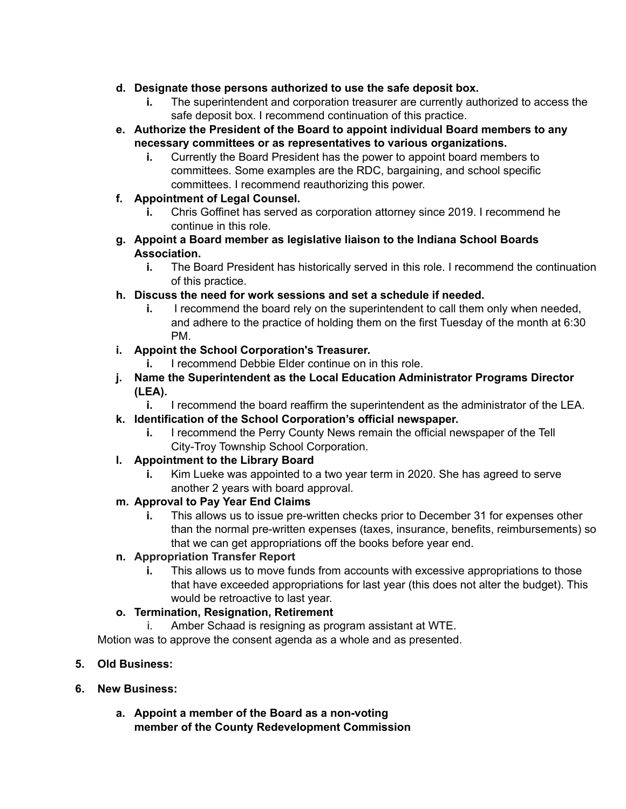- **d. Designate those persons authorized to use the safe deposit box.**
	- **i.** The superintendent and corporation treasurer are currently authorized to access the safe deposit box. I recommend continuation of this practice.
- **e. Authorize the President of the Board to appoint individual Board members to any necessary committees or as representatives to various organizations.**
	- **i.** Currently the Board President has the power to appoint board members to committees. Some examples are the RDC, bargaining, and school specific committees. I recommend reauthorizing this power.
- **f. Appointment of Legal Counsel.**
	- **i.** Chris Goffinet has served as corporation attorney since 2019. I recommend he continue in this role.
- **g. Appoint a Board member as legislative liaison to the Indiana School Boards Association.**
	- **i.** The Board President has historically served in this role. I recommend the continuation of this practice.
- **h. Discuss the need for work sessions and set a schedule if needed.**
	- **i.** I recommend the board rely on the superintendent to call them only when needed, and adhere to the practice of holding them on the first Tuesday of the month at 6:30 PM.

# **i. Appoint the School Corporation's Treasurer.**

- **i.** I recommend Debbie Elder continue on in this role.
- **j. Name the Superintendent as the Local Education Administrator Programs Director (LEA).**
	- **i.** I recommend the board reaffirm the superintendent as the administrator of the LEA.
- **k. Identification of the School Corporation's official newspaper.**
	- **i.** I recommend the Perry County News remain the official newspaper of the Tell City-Troy Township School Corporation.
- **l. Appointment to the Library Board**
	- **i.** Kim Lueke was appointed to a two year term in 2020. She has agreed to serve another 2 years with board approval.

# **m. Approval to Pay Year End Claims**

**i.** This allows us to issue pre-written checks prior to December 31 for expenses other than the normal pre-written expenses (taxes, insurance, benefits, reimbursements) so that we can get appropriations off the books before year end.

# **n. Appropriation Transfer Report**

**i.** This allows us to move funds from accounts with excessive appropriations to those that have exceeded appropriations for last year (this does not alter the budget). This would be retroactive to last year.

# **o. Termination, Resignation, Retirement**

i. Amber Schaad is resigning as program assistant at WTE.

Motion was to approve the consent agenda as a whole and as presented.

- **5. Old Business:**
- **6. New Business:**
	- **a. Appoint a member of the Board as a non-voting member of the County Redevelopment Commission**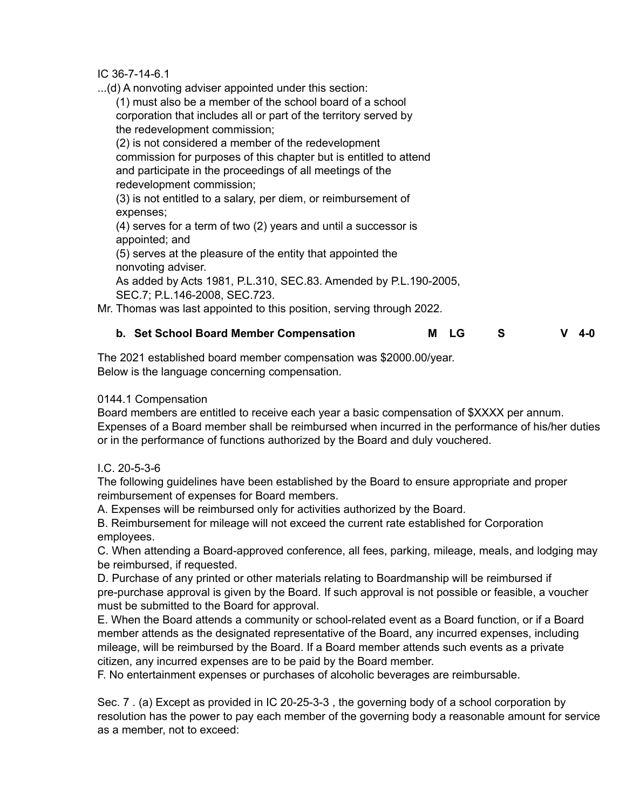IC 36-7-14-6.1

...(d) A nonvoting adviser appointed under this section:

(1) must also be a member of the school board of a school corporation that includes all or part of the territory served by the redevelopment commission;

(2) is not considered a member of the redevelopment commission for purposes of this chapter but is entitled to attend and participate in the proceedings of all meetings of the redevelopment commission;

(3) is not entitled to a salary, per diem, or reimbursement of expenses;

(4) serves for a term of two (2) years and until a successor is appointed; and

(5) serves at the pleasure of the entity that appointed the nonvoting adviser.

As added by Acts 1981, P.L.310, SEC.83. Amended by P.L.190-2005, SEC.7; P.L.146-2008, SEC.723.

Mr. Thomas was last appointed to this position, serving through 2022.

# **b. Set School Board Member Compensation M LG S V 4-0**

The 2021 established board member compensation was \$2000.00/year. Below is the language concerning compensation.

# 0144.1 Compensation

Board members are entitled to receive each year a basic compensation of \$XXXX per annum. Expenses of a Board member shall be reimbursed when incurred in the performance of his/her duties or in the performance of functions authorized by the Board and duly vouchered.

# I.C. 20-5-3-6

The following guidelines have been established by the Board to ensure appropriate and proper reimbursement of expenses for Board members.

A. Expenses will be reimbursed only for activities authorized by the Board.

B. Reimbursement for mileage will not exceed the current rate established for Corporation employees.

C. When attending a Board-approved conference, all fees, parking, mileage, meals, and lodging may be reimbursed, if requested.

D. Purchase of any printed or other materials relating to Boardmanship will be reimbursed if pre-purchase approval is given by the Board. If such approval is not possible or feasible, a voucher must be submitted to the Board for approval.

E. When the Board attends a community or school-related event as a Board function, or if a Board member attends as the designated representative of the Board, any incurred expenses, including mileage, will be reimbursed by the Board. If a Board member attends such events as a private citizen, any incurred expenses are to be paid by the Board member.

F. No entertainment expenses or purchases of alcoholic beverages are reimbursable.

Sec. 7 . (a) Except as provided in IC 20-25-3-3 , the governing body of a school corporation by resolution has the power to pay each member of the governing body a reasonable amount for service as a member, not to exceed: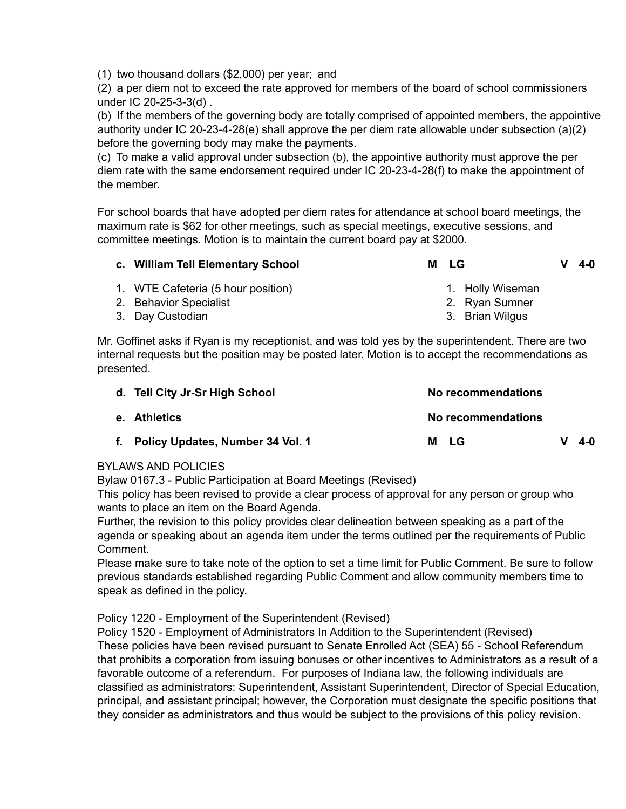(1) two thousand dollars (\$2,000) per year; and

(2) a per diem not to exceed the rate approved for members of the board of school commissioners under IC 20-25-3-3(d) .

(b) If the members of the governing body are totally comprised of appointed members, the appointive authority under IC 20-23-4-28(e) shall approve the per diem rate allowable under subsection (a)(2) before the governing body may make the payments.

(c) To make a valid approval under subsection (b), the appointive authority must approve the per diem rate with the same endorsement required under IC 20-23-4-28(f) to make the appointment of the member.

For school boards that have adopted per diem rates for attendance at school board meetings, the maximum rate is \$62 for other meetings, such as special meetings, executive sessions, and committee meetings. Motion is to maintain the current board pay at \$2000.

| c. William Tell Elementary School  | M LG |                  | $V$ 4-0 |
|------------------------------------|------|------------------|---------|
| 1. WTE Cafeteria (5 hour position) |      | 1. Holly Wiseman |         |
| 2. Dobovier Crooplint              |      | Duan Cumpar      |         |

2. Behavior Specialist 3. Day Custodian

2. Ryan Sumner

3. Brian Wilgus

Mr. Goffinet asks if Ryan is my receptionist, and was told yes by the superintendent. There are two internal requests but the position may be posted later. Motion is to accept the recommendations as presented.

| d. Tell City Jr-Sr High School      | No recommendations |         |
|-------------------------------------|--------------------|---------|
| e. Athletics                        | No recommendations |         |
| f. Policy Updates, Number 34 Vol. 1 | - LG<br>м          | $4 - 0$ |

# BYLAWS AND POLICIES

Bylaw 0167.3 - Public Participation at Board Meetings (Revised)

This policy has been revised to provide a clear process of approval for any person or group who wants to place an item on the Board Agenda.

Further, the revision to this policy provides clear delineation between speaking as a part of the agenda or speaking about an agenda item under the terms outlined per the requirements of Public Comment.

Please make sure to take note of the option to set a time limit for Public Comment. Be sure to follow previous standards established regarding Public Comment and allow community members time to speak as defined in the policy.

Policy 1220 - Employment of the Superintendent (Revised)

Policy 1520 - Employment of Administrators In Addition to the Superintendent (Revised) These policies have been revised pursuant to Senate Enrolled Act (SEA) 55 - School Referendum that prohibits a corporation from issuing bonuses or other incentives to Administrators as a result of a favorable outcome of a referendum. For purposes of Indiana law, the following individuals are classified as administrators: Superintendent, Assistant Superintendent, Director of Special Education, principal, and assistant principal; however, the Corporation must designate the specific positions that they consider as administrators and thus would be subject to the provisions of this policy revision.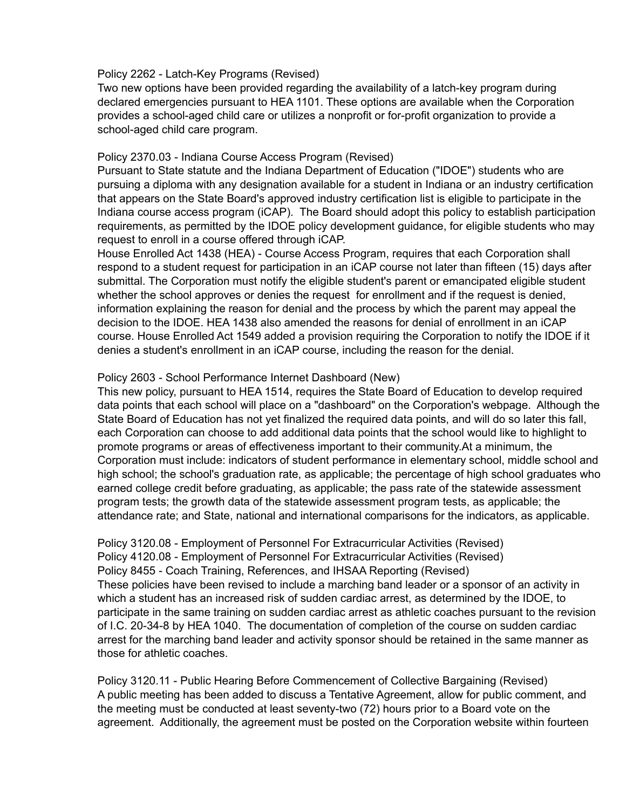#### Policy 2262 - Latch-Key Programs (Revised)

Two new options have been provided regarding the availability of a latch-key program during declared emergencies pursuant to HEA 1101. These options are available when the Corporation provides a school-aged child care or utilizes a nonprofit or for-profit organization to provide a school-aged child care program.

### Policy 2370.03 - Indiana Course Access Program (Revised)

Pursuant to State statute and the Indiana Department of Education ("IDOE") students who are pursuing a diploma with any designation available for a student in Indiana or an industry certification that appears on the State Board's approved industry certification list is eligible to participate in the Indiana course access program (iCAP). The Board should adopt this policy to establish participation requirements, as permitted by the IDOE policy development guidance, for eligible students who may request to enroll in a course offered through iCAP.

House Enrolled Act 1438 (HEA) - Course Access Program, requires that each Corporation shall respond to a student request for participation in an iCAP course not later than fifteen (15) days after submittal. The Corporation must notify the eligible student's parent or emancipated eligible student whether the school approves or denies the request for enrollment and if the request is denied, information explaining the reason for denial and the process by which the parent may appeal the decision to the IDOE. HEA 1438 also amended the reasons for denial of enrollment in an iCAP course. House Enrolled Act 1549 added a provision requiring the Corporation to notify the IDOE if it denies a student's enrollment in an iCAP course, including the reason for the denial.

# Policy 2603 - School Performance Internet Dashboard (New)

This new policy, pursuant to HEA 1514, requires the State Board of Education to develop required data points that each school will place on a "dashboard" on the Corporation's webpage. Although the State Board of Education has not yet finalized the required data points, and will do so later this fall, each Corporation can choose to add additional data points that the school would like to highlight to promote programs or areas of effectiveness important to their community.At a minimum, the Corporation must include: indicators of student performance in elementary school, middle school and high school; the school's graduation rate, as applicable; the percentage of high school graduates who earned college credit before graduating, as applicable; the pass rate of the statewide assessment program tests; the growth data of the statewide assessment program tests, as applicable; the attendance rate; and State, national and international comparisons for the indicators, as applicable.

Policy 3120.08 - Employment of Personnel For Extracurricular Activities (Revised) Policy 4120.08 - Employment of Personnel For Extracurricular Activities (Revised) Policy 8455 - Coach Training, References, and IHSAA Reporting (Revised) These policies have been revised to include a marching band leader or a sponsor of an activity in which a student has an increased risk of sudden cardiac arrest, as determined by the IDOE, to participate in the same training on sudden cardiac arrest as athletic coaches pursuant to the revision of I.C. 20-34-8 by HEA 1040. The documentation of completion of the course on sudden cardiac arrest for the marching band leader and activity sponsor should be retained in the same manner as those for athletic coaches.

Policy 3120.11 - Public Hearing Before Commencement of Collective Bargaining (Revised) A public meeting has been added to discuss a Tentative Agreement, allow for public comment, and the meeting must be conducted at least seventy-two (72) hours prior to a Board vote on the agreement. Additionally, the agreement must be posted on the Corporation website within fourteen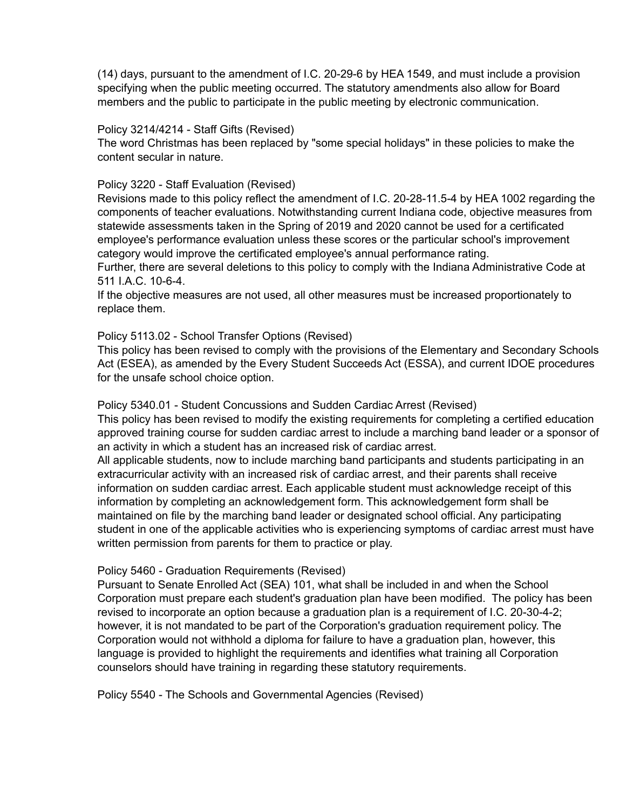(14) days, pursuant to the amendment of I.C. 20-29-6 by HEA 1549, and must include a provision specifying when the public meeting occurred. The statutory amendments also allow for Board members and the public to participate in the public meeting by electronic communication.

#### Policy 3214/4214 - Staff Gifts (Revised)

The word Christmas has been replaced by "some special holidays" in these policies to make the content secular in nature.

# Policy 3220 - Staff Evaluation (Revised)

Revisions made to this policy reflect the amendment of I.C. 20-28-11.5-4 by HEA 1002 regarding the components of teacher evaluations. Notwithstanding current Indiana code, objective measures from statewide assessments taken in the Spring of 2019 and 2020 cannot be used for a certificated employee's performance evaluation unless these scores or the particular school's improvement category would improve the certificated employee's annual performance rating.

Further, there are several deletions to this policy to comply with the Indiana Administrative Code at 511 I.A.C. 10-6-4.

If the objective measures are not used, all other measures must be increased proportionately to replace them.

### Policy 5113.02 - School Transfer Options (Revised)

This policy has been revised to comply with the provisions of the Elementary and Secondary Schools Act (ESEA), as amended by the Every Student Succeeds Act (ESSA), and current IDOE procedures for the unsafe school choice option.

#### Policy 5340.01 - Student Concussions and Sudden Cardiac Arrest (Revised)

This policy has been revised to modify the existing requirements for completing a certified education approved training course for sudden cardiac arrest to include a marching band leader or a sponsor of an activity in which a student has an increased risk of cardiac arrest.

All applicable students, now to include marching band participants and students participating in an extracurricular activity with an increased risk of cardiac arrest, and their parents shall receive information on sudden cardiac arrest. Each applicable student must acknowledge receipt of this information by completing an acknowledgement form. This acknowledgement form shall be maintained on file by the marching band leader or designated school official. Any participating student in one of the applicable activities who is experiencing symptoms of cardiac arrest must have written permission from parents for them to practice or play.

#### Policy 5460 - Graduation Requirements (Revised)

Pursuant to Senate Enrolled Act (SEA) 101, what shall be included in and when the School Corporation must prepare each student's graduation plan have been modified. The policy has been revised to incorporate an option because a graduation plan is a requirement of I.C. 20-30-4-2; however, it is not mandated to be part of the Corporation's graduation requirement policy. The Corporation would not withhold a diploma for failure to have a graduation plan, however, this language is provided to highlight the requirements and identifies what training all Corporation counselors should have training in regarding these statutory requirements.

Policy 5540 - The Schools and Governmental Agencies (Revised)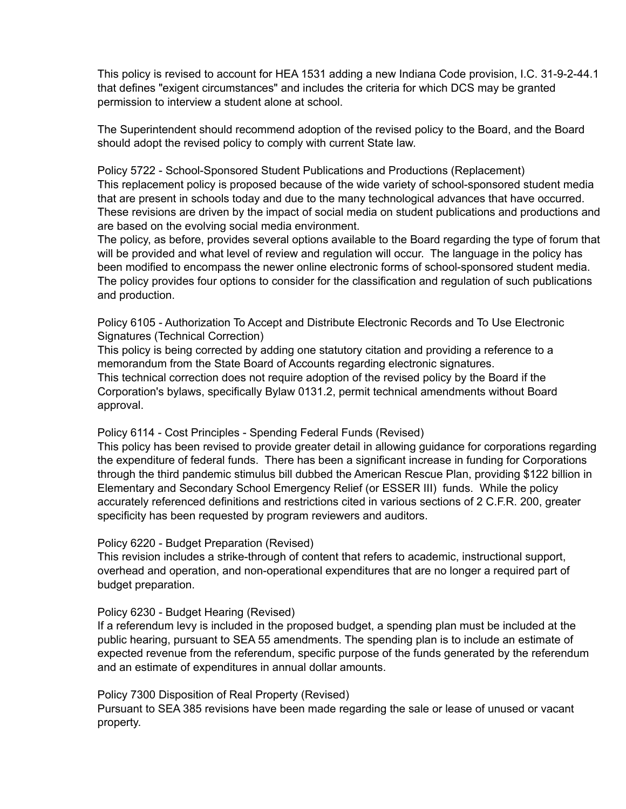This policy is revised to account for HEA 1531 adding a new Indiana Code provision, I.C. 31-9-2-44.1 that defines "exigent circumstances" and includes the criteria for which DCS may be granted permission to interview a student alone at school.

The Superintendent should recommend adoption of the revised policy to the Board, and the Board should adopt the revised policy to comply with current State law.

Policy 5722 - School-Sponsored Student Publications and Productions (Replacement) This replacement policy is proposed because of the wide variety of school-sponsored student media that are present in schools today and due to the many technological advances that have occurred. These revisions are driven by the impact of social media on student publications and productions and are based on the evolving social media environment.

The policy, as before, provides several options available to the Board regarding the type of forum that will be provided and what level of review and regulation will occur. The language in the policy has been modified to encompass the newer online electronic forms of school-sponsored student media. The policy provides four options to consider for the classification and regulation of such publications and production.

Policy 6105 - Authorization To Accept and Distribute Electronic Records and To Use Electronic Signatures (Technical Correction)

This policy is being corrected by adding one statutory citation and providing a reference to a memorandum from the State Board of Accounts regarding electronic signatures. This technical correction does not require adoption of the revised policy by the Board if the Corporation's bylaws, specifically Bylaw 0131.2, permit technical amendments without Board approval.

Policy 6114 - Cost Principles - Spending Federal Funds (Revised)

This policy has been revised to provide greater detail in allowing guidance for corporations regarding the expenditure of federal funds. There has been a significant increase in funding for Corporations through the third pandemic stimulus bill dubbed the American Rescue Plan, providing \$122 billion in Elementary and Secondary School Emergency Relief (or ESSER III) funds. While the policy accurately referenced definitions and restrictions cited in various sections of 2 C.F.R. 200, greater specificity has been requested by program reviewers and auditors.

Policy 6220 - Budget Preparation (Revised)

This revision includes a strike-through of content that refers to academic, instructional support, overhead and operation, and non-operational expenditures that are no longer a required part of budget preparation.

# Policy 6230 - Budget Hearing (Revised)

If a referendum levy is included in the proposed budget, a spending plan must be included at the public hearing, pursuant to SEA 55 amendments. The spending plan is to include an estimate of expected revenue from the referendum, specific purpose of the funds generated by the referendum and an estimate of expenditures in annual dollar amounts.

Policy 7300 Disposition of Real Property (Revised)

Pursuant to SEA 385 revisions have been made regarding the sale or lease of unused or vacant property.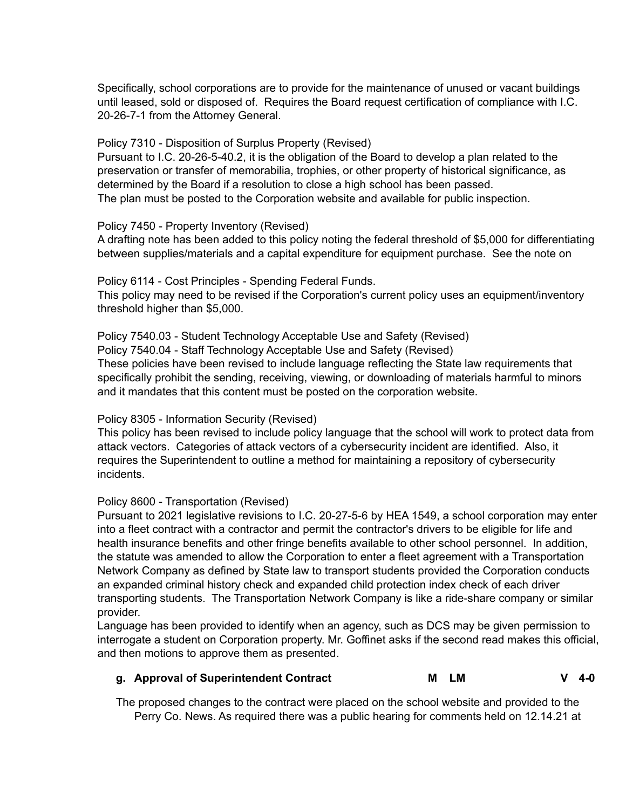Specifically, school corporations are to provide for the maintenance of unused or vacant buildings until leased, sold or disposed of. Requires the Board request certification of compliance with I.C. 20-26-7-1 from the Attorney General.

Policy 7310 - Disposition of Surplus Property (Revised)

Pursuant to I.C. 20-26-5-40.2, it is the obligation of the Board to develop a plan related to the preservation or transfer of memorabilia, trophies, or other property of historical significance, as determined by the Board if a resolution to close a high school has been passed. The plan must be posted to the Corporation website and available for public inspection.

### Policy 7450 - Property Inventory (Revised)

A drafting note has been added to this policy noting the federal threshold of \$5,000 for differentiating between supplies/materials and a capital expenditure for equipment purchase. See the note on

Policy 6114 - Cost Principles - Spending Federal Funds. This policy may need to be revised if the Corporation's current policy uses an equipment/inventory threshold higher than \$5,000.

Policy 7540.03 - Student Technology Acceptable Use and Safety (Revised) Policy 7540.04 - Staff Technology Acceptable Use and Safety (Revised) These policies have been revised to include language reflecting the State law requirements that specifically prohibit the sending, receiving, viewing, or downloading of materials harmful to minors and it mandates that this content must be posted on the corporation website.

# Policy 8305 - Information Security (Revised)

This policy has been revised to include policy language that the school will work to protect data from attack vectors. Categories of attack vectors of a cybersecurity incident are identified. Also, it requires the Superintendent to outline a method for maintaining a repository of cybersecurity incidents.

# Policy 8600 - Transportation (Revised)

Pursuant to 2021 legislative revisions to I.C. 20-27-5-6 by HEA 1549, a school corporation may enter into a fleet contract with a contractor and permit the contractor's drivers to be eligible for life and health insurance benefits and other fringe benefits available to other school personnel. In addition, the statute was amended to allow the Corporation to enter a fleet agreement with a Transportation Network Company as defined by State law to transport students provided the Corporation conducts an expanded criminal history check and expanded child protection index check of each driver transporting students. The Transportation Network Company is like a ride-share company or similar provider.

Language has been provided to identify when an agency, such as DCS may be given permission to interrogate a student on Corporation property. Mr. Goffinet asks if the second read makes this official, and then motions to approve them as presented.

# **g. Approval of Superintendent Contract M LM V 4-0**

The proposed changes to the contract were placed on the school website and provided to the Perry Co. News. As required there was a public hearing for comments held on 12.14.21 at